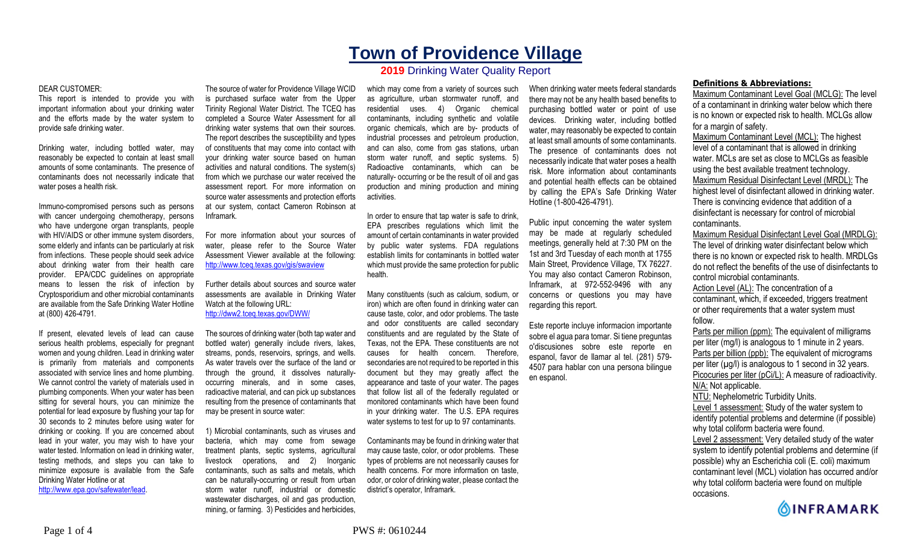# **Town of Providence Village**

## **2019** Drinking Water Quality Report

#### DEAR CUSTOMER:

This report is intended to provide you with important information about your drinking water and the efforts made by the water system to provide safe drinking water.

Drinking water, including bottled water, may reasonably be expected to contain at least small amounts of some contaminants. The presence of contaminants does not necessarily indicate that water poses a health risk.

Immuno-compromised persons such as persons with cancer undergoing chemotherapy, persons who have undergone organ transplants, people with HIV/AIDS or other immune system disorders, some elderly and infants can be particularly at risk from infections. These people should seek advice about drinking water from their health care provider. EPA/CDC guidelines on appropriate means to lessen the risk of infection by Cryptosporidium and other microbial contaminants are available from the Safe Drinking Water Hotline at (800) 426-4791.

If present, elevated levels of lead can cause serious health problems, especially for pregnant women and young children. Lead in drinking water is primarily from materials and components associated with service lines and home plumbing. We cannot control the variety of materials used in plumbing components. When your water has been sitting for several hours, you can minimize the potential for lead exposure by flushing your tap for 30 seconds to 2 minutes before using water for drinking or cooking. If you are concerned about lead in your water, you may wish to have your water tested. Information on lead in drinking water, testing methods, and steps you can take to minimize exposure is available from the Safe Drinking Water Hotline or at http://www.epa.gov/safewater/lead.

The source of water for Providence Village WCID is purchased surface water from the Upper Tirinity Regional Water District. The TCEQ has completed a Source Water Assessment for all drinking water systems that own their sources. The report describes the susceptibility and types of constituents that may come into contact with your drinking water source based on human activities and natural conditions. The system(s) from which we purchase our water received the assessment report. For more information on source water assessments and protection efforts at our system, contact Cameron Robinson at Inframark.

For more information about your sources of water, please refer to the Source Water Assessment Viewer available at the following: http://www.tceq.texas.gov/gis/swaview

Further details about sources and source water assessments are available in Drinking Water Watch at the following URL: http://dww2.tceq.texas.gov/DWW/

The sources of drinking water (both tap water and bottled water) generally include rivers, lakes, streams, ponds, reservoirs, springs, and wells. As water travels over the surface of the land or through the ground, it dissolves naturallyoccurring minerals, and in some cases, radioactive material, and can pick up substances resulting from the presence of contaminants that may be present in source water:

1) Microbial contaminants, such as viruses and bacteria, which may come from sewage treatment plants, septic systems, agricultural livestock operations, and 2) Inorganic contaminants, such as salts and metals, which can be naturally-occurring or result from urban storm water runoff, industrial or domestic wastewater discharges, oil and gas production, mining, or farming. 3) Pesticides and herbicides,

which may come from a variety of sources such as agriculture, urban stormwater runoff, and residential uses. 4) Organic chemical contaminants, including synthetic and volatile organic chemicals, which are by- products of industrial processes and petroleum production, and can also, come from gas stations, urban storm water runoff, and septic systems. 5) Radioactive contaminants, which can be naturally- occurring or be the result of oil and gas production and mining production and mining activities.

In order to ensure that tap water is safe to drink, EPA prescribes regulations which limit the amount of certain contaminants in water provided by public water systems. FDA regulations establish limits for contaminants in bottled water which must provide the same protection for public health.

Many constituents (such as calcium, sodium, or iron) which are often found in drinking water can cause taste, color, and odor problems. The taste and odor constituents are called secondary constituents and are regulated by the State of Texas, not the EPA. These constituents are not causes for health concern. Therefore, secondaries are not required to be reported in this document but they may greatly affect the appearance and taste of your water. The pages that follow list all of the federally regulated or monitored contaminants which have been found in your drinking water. The U.S. EPA requires water systems to test for up to 97 contaminants.

Contaminants may be found in drinking water that may cause taste, color, or odor problems. These types of problems are not necessarily causes for health concerns. For more information on taste, odor, or color of drinking water, please contact the district's operator, Inframark.

When drinking water meets federal standards there may not be any health based benefits to purchasing bottled water or point of use devices. Drinking water, including bottled water, may reasonably be expected to contain at least small amounts of some contaminants. The presence of contaminants does not necessarily indicate that water poses a health risk. More information about contaminants and potential health effects can be obtained by calling the EPA's Safe Drinking Water Hotline (1-800-426-4791).

Public input concerning the water system may be made at regularly scheduled meetings, generally held at 7:30 PM on the 1st and 3rd Tuesday of each month at 1755 Main Street, Providence Village, TX 76227. You may also contact Cameron Robinson, Inframark, at 972-552-9496 with any concerns or questions you may have regarding this report.

Este reporte incluye informacion importante sobre el agua para tomar. Si tiene preguntas o'discusiones sobre este reporte en espanol, favor de llamar al tel. (281) 579- 4507 para hablar con una persona bilingue en espanol.

### **Definitions & Abbreviations:**

Maximum Contaminant Level Goal (MCLG): The level of a contaminant in drinking water below which there is no known or expected risk to health. MCLGs allow for a margin of safety.

Maximum Contaminant Level (MCL): The highest level of a contaminant that is allowed in drinking water. MCLs are set as close to MCLGs as feasible using the best available treatment technology. Maximum Residual Disinfectant Level (MRDL): The highest level of disinfectant allowed in drinking water. There is convincing evidence that addition of a disinfectant is necessary for control of microbial contaminants.

Maximum Residual Disinfectant Level Goal (MRDLG): The level of drinking water disinfectant below which there is no known or expected risk to health. MRDLGs do not reflect the benefits of the use of disinfectants to control microbial contaminants.

Action Level (AL): The concentration of a contaminant, which, if exceeded, triggers treatment or other requirements that a water system must follow.

Parts per million (ppm): The equivalent of milligrams per liter (mg/l) is analogous to 1 minute in 2 years. Parts per billion (ppb): The equivalent of micrograms per liter  $(\mu g/l)$  is analogous to 1 second in 32 years. Picocuries per liter (pCi/L): A measure of radioactivity. N/A: Not applicable. NTU: Nephelometric Turbidity Units. Level 1 assessment: Study of the water system to

identify potential problems and determine (if possible) why total coliform bacteria were found.

Level 2 assessment: Very detailed study of the water system to identify potential problems and determine (if possible) why an Escherichia coli (E. coli) maximum contaminant level (MCL) violation has occurred and/or why total coliform bacteria were found on multiple occasions.

**OINFRAMARK**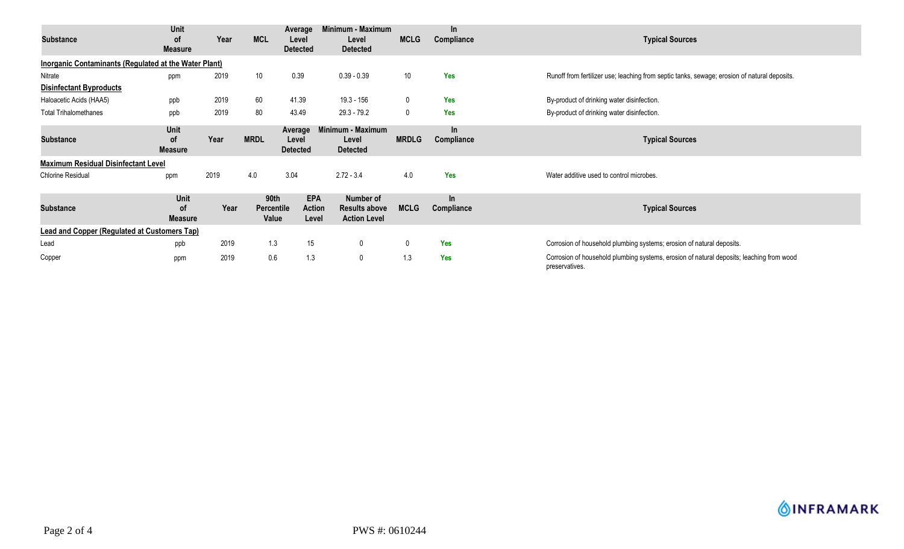| Substance                                                    | Unit<br><b>of</b><br><b>Measure</b> | Year | <b>MCL</b>                         | Average<br>Level<br><b>Detected</b> | Minimum - Maximum<br>Level<br><b>Detected</b>            | <b>MCLG</b>  | In.<br>Compliance   | <b>Typical Sources</b>                                                                                     |  |  |
|--------------------------------------------------------------|-------------------------------------|------|------------------------------------|-------------------------------------|----------------------------------------------------------|--------------|---------------------|------------------------------------------------------------------------------------------------------------|--|--|
| <b>Inorganic Contaminants (Regulated at the Water Plant)</b> |                                     |      |                                    |                                     |                                                          |              |                     |                                                                                                            |  |  |
| Nitrate                                                      | ppm                                 | 2019 | 10                                 | 0.39                                | $0.39 - 0.39$                                            | 10           | <b>Yes</b>          | Runoff from fertilizer use; leaching from septic tanks, sewage; erosion of natural deposits.               |  |  |
| <b>Disinfectant Byproducts</b>                               |                                     |      |                                    |                                     |                                                          |              |                     |                                                                                                            |  |  |
| Haloacetic Acids (HAA5)                                      | ppb                                 | 2019 | 60                                 | 41.39                               | 19.3 - 156                                               | $\mathbf 0$  | <b>Yes</b>          | By-product of drinking water disinfection.                                                                 |  |  |
| <b>Total Trihalomethanes</b>                                 | ppb                                 | 2019 | 80                                 | 43.49                               | $29.3 - 79.2$                                            | $\mathbf 0$  | <b>Yes</b>          | By-product of drinking water disinfection.                                                                 |  |  |
| <b>Substance</b>                                             | Unit<br><b>of</b><br><b>Measure</b> | Year | <b>MRDL</b>                        | Average<br>Level<br><b>Detected</b> | Minimum - Maximum<br>Level<br><b>Detected</b>            | <b>MRDLG</b> | $\ln$<br>Compliance | <b>Typical Sources</b>                                                                                     |  |  |
| <b>Maximum Residual Disinfectant Level</b>                   |                                     |      |                                    |                                     |                                                          |              |                     |                                                                                                            |  |  |
| <b>Chlorine Residual</b>                                     | ppm                                 | 2019 | 4.0                                | 3.04                                | $2.72 - 3.4$                                             | 4.0          | Yes                 | Water additive used to control microbes.                                                                   |  |  |
| <b>Substance</b>                                             | Unit<br>οf<br><b>Measure</b>        | Year | 90th<br><b>Percentile</b><br>Value | <b>EPA</b><br>Action<br>Level       | Number of<br><b>Results above</b><br><b>Action Level</b> | <b>MCLG</b>  | In<br>Compliance    | <b>Typical Sources</b>                                                                                     |  |  |
| <b>Lead and Copper (Regulated at Customers Tap)</b>          |                                     |      |                                    |                                     |                                                          |              |                     |                                                                                                            |  |  |
| Lead                                                         | ppb                                 | 2019 | 1.3                                | 15                                  | $\mathbf 0$                                              | 0            | <b>Yes</b>          | Corrosion of household plumbing systems; erosion of natural deposits.                                      |  |  |
| Copper                                                       | ppm                                 | 2019 | 0.6                                | 1.3                                 | 0                                                        | 1.3          | <b>Yes</b>          | Corrosion of household plumbing systems, erosion of natural deposits; leaching from wood<br>preservatives. |  |  |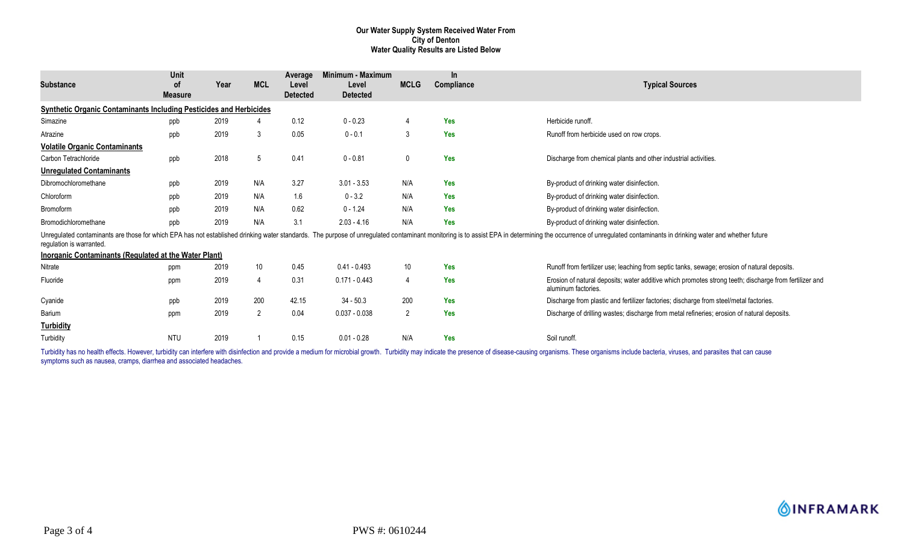#### **Our Water Supply System Received Water From City of Denton Water Quality Results are Listed Below**

| <b>Substance</b>                                                          | <b>Unit</b><br>οf<br><b>Measure</b> | Year | <b>MCL</b>      | Average<br>Level<br><b>Detected</b> | Minimum - Maximum<br>Level<br><b>Detected</b> | <b>MCLG</b>    | <b>In</b><br>Compliance | <b>Typical Sources</b>                                                                                                                                                                                                         |
|---------------------------------------------------------------------------|-------------------------------------|------|-----------------|-------------------------------------|-----------------------------------------------|----------------|-------------------------|--------------------------------------------------------------------------------------------------------------------------------------------------------------------------------------------------------------------------------|
| <b>Synthetic Organic Contaminants Including Pesticides and Herbicides</b> |                                     |      |                 |                                     |                                               |                |                         |                                                                                                                                                                                                                                |
| Simazine                                                                  | ppb                                 | 2019 |                 | 0.12                                | $0 - 0.23$                                    | $\overline{4}$ | Yes                     | Herbicide runoff.                                                                                                                                                                                                              |
| Atrazine                                                                  | ppb                                 | 2019 | 3               | 0.05                                | $0 - 0.1$                                     | 3              | <b>Yes</b>              | Runoff from herbicide used on row crops.                                                                                                                                                                                       |
| <b>Volatile Organic Contaminants</b>                                      |                                     |      |                 |                                     |                                               |                |                         |                                                                                                                                                                                                                                |
| Carbon Tetrachloride                                                      | ppb                                 | 2018 | 5               | 0.41                                | $0 - 0.81$                                    | 0              | <b>Yes</b>              | Discharge from chemical plants and other industrial activities.                                                                                                                                                                |
| <b>Unregulated Contaminants</b>                                           |                                     |      |                 |                                     |                                               |                |                         |                                                                                                                                                                                                                                |
| Dibromochloromethane                                                      | ppb                                 | 2019 | N/A             | 3.27                                | $3.01 - 3.53$                                 | N/A            | Yes                     | By-product of drinking water disinfection.                                                                                                                                                                                     |
| Chloroform                                                                | ppb                                 | 2019 | N/A             | 1.6                                 | $0 - 3.2$                                     | N/A            | <b>Yes</b>              | By-product of drinking water disinfection.                                                                                                                                                                                     |
| Bromoform                                                                 | ppb                                 | 2019 | N/A             | 0.62                                | $0 - 1.24$                                    | N/A            | <b>Yes</b>              | By-product of drinking water disinfection.                                                                                                                                                                                     |
| Bromodichloromethane                                                      | ppb                                 | 2019 | N/A             | 3.1                                 | $2.03 - 4.16$                                 | N/A            | <b>Yes</b>              | By-product of drinking water disinfection.                                                                                                                                                                                     |
| regulation is warranted.                                                  |                                     |      |                 |                                     |                                               |                |                         | Unregulated contaminants are those for which EPA has not established drinking water standards. The purpose of unregulated contaminant monitoring is to assist EPA in determining the occurrence of unregulated contaminants in |
| Inorganic Contaminants (Regulated at the Water Plant)                     |                                     |      |                 |                                     |                                               |                |                         |                                                                                                                                                                                                                                |
| Nitrate                                                                   | ppm                                 | 2019 | 10 <sup>°</sup> | 0.45                                | $0.41 - 0.493$                                | 10             | Yes                     | Runoff from fertilizer use; leaching from septic tanks, sewage; erosion of natural deposits.                                                                                                                                   |
| Fluoride                                                                  | ppm                                 | 2019 | 4               | 0.31                                | $0.171 - 0.443$                               | $\overline{4}$ | <b>Yes</b>              | Erosion of natural deposits; water additive which promotes strong teeth; discharge from fertilizer and<br>aluminum factories.                                                                                                  |
| Cyanide                                                                   | ppb                                 | 2019 | 200             | 42.15                               | $34 - 50.3$                                   | 200            | <b>Yes</b>              | Discharge from plastic and fertilizer factories; discharge from steel/metal factories.                                                                                                                                         |
| Barium                                                                    | ppm                                 | 2019 | $\overline{2}$  | 0.04                                | $0.037 - 0.038$                               | 2              | <b>Yes</b>              | Discharge of drilling wastes; discharge from metal refineries; erosion of natural deposits.                                                                                                                                    |
| <b>Turbidity</b>                                                          |                                     |      |                 |                                     |                                               |                |                         |                                                                                                                                                                                                                                |
| Turbidity                                                                 | NTU                                 | 2019 |                 | 0.15                                | $0.01 - 0.28$                                 | N/A            | <b>Yes</b>              | Soil runoff.                                                                                                                                                                                                                   |

Turbidity has no health effects. However, turbidity can interfere with disinfection and provide a medium for microbial growth. Turbidity may indicate the presence of disease-causing organisms. These organisms include bacte symptoms such as nausea, cramps, diarrhea and associated headaches.